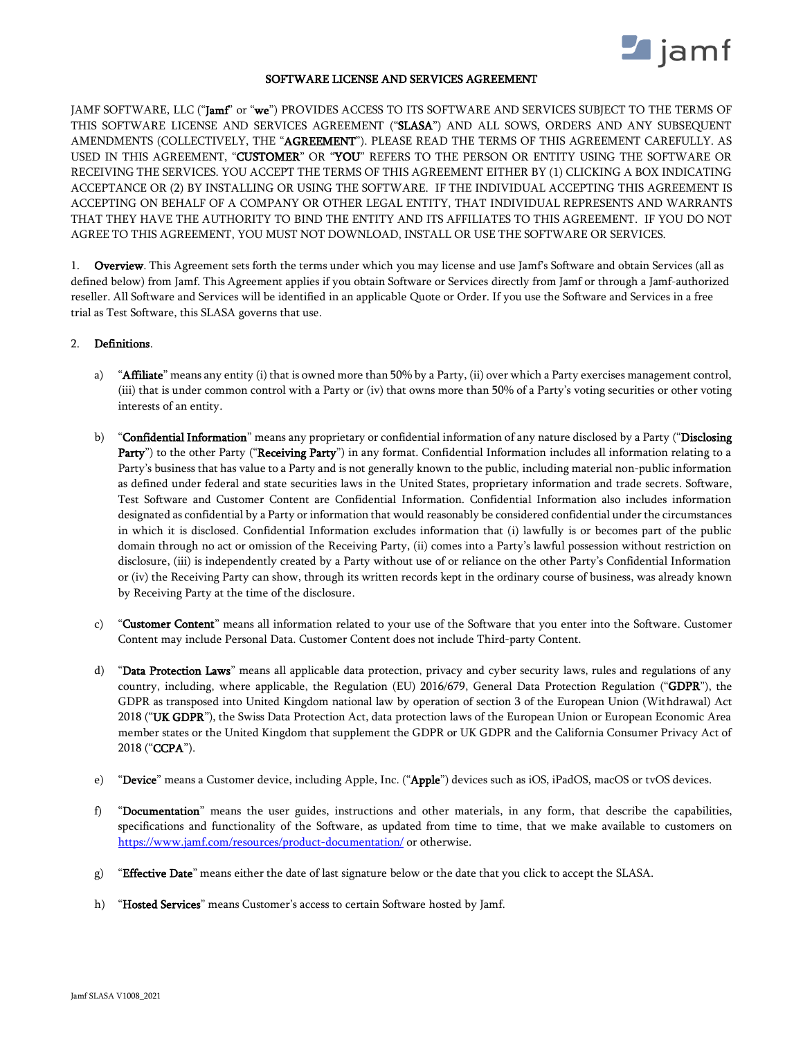

#### SOFTWARE LICENSE AND SERVICES AGREEMENT

JAMF SOFTWARE, LLC ("Jamf" or "we") PROVIDES ACCESS TO ITS SOFTWARE AND SERVICES SUBJECT TO THE TERMS OF THIS SOFTWARE LICENSE AND SERVICES AGREEMENT ("SLASA") AND ALL SOWS, ORDERS AND ANY SUBSEQUENT AMENDMENTS (COLLECTIVELY, THE "AGREEMENT"). PLEASE READ THE TERMS OF THIS AGREEMENT CAREFULLY. AS USED IN THIS AGREEMENT, "CUSTOMER" OR "YOU" REFERS TO THE PERSON OR ENTITY USING THE SOFTWARE OR RECEIVING THE SERVICES. YOU ACCEPT THE TERMS OF THIS AGREEMENT EITHER BY (1) CLICKING A BOX INDICATING ACCEPTANCE OR (2) BY INSTALLING OR USING THE SOFTWARE. IF THE INDIVIDUAL ACCEPTING THIS AGREEMENT IS ACCEPTING ON BEHALF OF A COMPANY OR OTHER LEGAL ENTITY, THAT INDIVIDUAL REPRESENTS AND WARRANTS THAT THEY HAVE THE AUTHORITY TO BIND THE ENTITY AND ITS AFFILIATES TO THIS AGREEMENT. IF YOU DO NOT AGREE TO THIS AGREEMENT, YOU MUST NOT DOWNLOAD, INSTALL OR USE THE SOFTWARE OR SERVICES.

1. Overview. This Agreement sets forth the terms under which you may license and use Jamf's Software and obtain Services (all as defined below) from Jamf. This Agreement applies if you obtain Software or Services directly from Jamf or through a Jamf-authorized reseller. All Software and Services will be identified in an applicable Quote or Order. If you use the Software and Services in a free trial as Test Software, this SLASA governs that use.

# 2. Definitions.

- a) "Affiliate" means any entity (i) that is owned more than 50% by a Party, (ii) over which a Party exercises management control, (iii) that is under common control with a Party or (iv) that owns more than 50% of a Party's voting securities or other voting interests of an entity.
- b) "Confidential Information" means any proprietary or confidential information of any nature disclosed by a Party ("Disclosing Party") to the other Party ("Receiving Party") in any format. Confidential Information includes all information relating to a Party's business that has value to a Party and is not generally known to the public, including material non-public information as defined under federal and state securities laws in the United States, proprietary information and trade secrets. Software, Test Software and Customer Content are Confidential Information. Confidential Information also includes information designated as confidential by a Party or information that would reasonably be considered confidential under the circumstances in which it is disclosed. Confidential Information excludes information that (i) lawfully is or becomes part of the public domain through no act or omission of the Receiving Party, (ii) comes into a Party's lawful possession without restriction on disclosure, (iii) is independently created by a Party without use of or reliance on the other Party's Confidential Information or (iv) the Receiving Party can show, through its written records kept in the ordinary course of business, was already known by Receiving Party at the time of the disclosure.
- c) "Customer Content" means all information related to your use of the Software that you enter into the Software. Customer Content may include Personal Data. Customer Content does not include Third-party Content.
- d) "Data Protection Laws" means all applicable data protection, privacy and cyber security laws, rules and regulations of any country, including, where applicable, the Regulation (EU) 2016/679, General Data Protection Regulation ("GDPR"), the GDPR as transposed into United Kingdom national law by operation of section 3 of the European Union (Withdrawal) Act 2018 ("UK GDPR"), the Swiss Data Protection Act, data protection laws of the European Union or European Economic Area member states or the United Kingdom that supplement the GDPR or UK GDPR and the California Consumer Privacy Act of 2018 ("CCPA").
- e) "Device" means a Customer device, including Apple, Inc. ("Apple") devices such as iOS, iPadOS, macOS or tvOS devices.
- f) "Documentation" means the user guides, instructions and other materials, in any form, that describe the capabilities, specifications and functionality of the Software, as updated from time to time, that we make available to customers on <https://www.jamf.com/resources/product-documentation/> or otherwise.
- g) "Effective Date" means either the date of last signature below or the date that you click to accept the SLASA.
- h) "Hosted Services" means Customer's access to certain Software hosted by Jamf.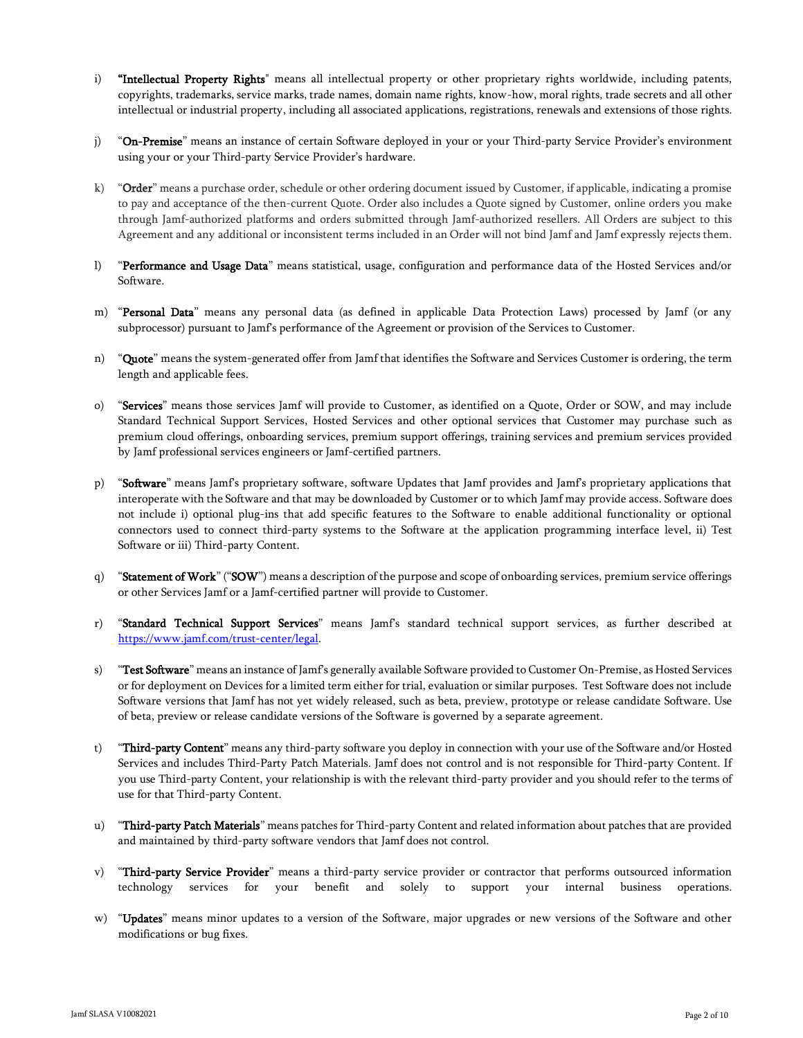- i) "Intellectual Property Rights" means all intellectual property or other proprietary rights worldwide, including patents, copyrights, trademarks, service marks, trade names, domain name rights, know-how, moral rights, trade secrets and all other intellectual or industrial property, including all associated applications, registrations, renewals and extensions of those rights.
- j) "On-Premise" means an instance of certain Software deployed in your or your Third-party Service Provider's environment using your or your Third-party Service Provider's hardware.
- k) "Order" means a purchase order, schedule or other ordering document issued by Customer, if applicable, indicating a promise to pay and acceptance of the then-current Quote. Order also includes a Quote signed by Customer, online orders you make through Jamf-authorized platforms and orders submitted through Jamf-authorized resellers. All Orders are subject to this Agreement and any additional or inconsistent terms included in an Order will not bind Jamf and Jamf expressly rejects them.
- l) "Performance and Usage Data" means statistical, usage, configuration and performance data of the Hosted Services and/or Software.
- m) "Personal Data" means any personal data (as defined in applicable Data Protection Laws) processed by Jamf (or any subprocessor) pursuant to Jamf's performance of the Agreement or provision of the Services to Customer.
- n) "Quote" means the system-generated offer from Jamf that identifies the Software and Services Customer is ordering, the term length and applicable fees.
- o) "Services" means those services Jamf will provide to Customer, as identified on a Quote, Order or SOW, and may include Standard Technical Support Services, Hosted Services and other optional services that Customer may purchase such as premium cloud offerings, onboarding services, premium support offerings, training services and premium services provided by Jamf professional services engineers or Jamf-certified partners.
- p) "Software" means Jamf's proprietary software, software Updates that Jamf provides and Jamf's proprietary applications that interoperate with the Software and that may be downloaded by Customer or to which Jamf may provide access. Software does not include i) optional plug-ins that add specific features to the Software to enable additional functionality or optional connectors used to connect third-party systems to the Software at the application programming interface level, ii) Test Software or iii) Third-party Content.
- q) "Statement of Work" ("SOW") means a description of the purpose and scope of onboarding services, premium service offerings or other Services Jamf or a Jamf-certified partner will provide to Customer.
- r) "Standard Technical Support Services" means Jamf's standard technical support services, as further described at [https://www.jamf.com/trust-center/legal.](https://www.jamf.com/trust-center/legal)
- s) "Test Software" means an instance of Jamf's generally available Software provided to Customer On-Premise, as Hosted Services or for deployment on Devices for a limited term either for trial, evaluation or similar purposes. Test Software does not include Software versions that Jamf has not yet widely released, such as beta, preview, prototype or release candidate Software. Use of beta, preview or release candidate versions of the Software is governed by a separate agreement.
- t) "Third-party Content" means any third-party software you deploy in connection with your use of the Software and/or Hosted Services and includes Third-Party Patch Materials. Jamf does not control and is not responsible for Third-party Content. If you use Third-party Content, your relationship is with the relevant third-party provider and you should refer to the terms of use for that Third-party Content.
- u) "Third-party Patch Materials" means patches for Third-party Content and related information about patches that are provided and maintained by third-party software vendors that Jamf does not control.
- v) "Third-party Service Provider" means a third-party service provider or contractor that performs outsourced information technology services for your benefit and solely to support your internal business operations.
- w) "Updates" means minor updates to a version of the Software, major upgrades or new versions of the Software and other modifications or bug fixes.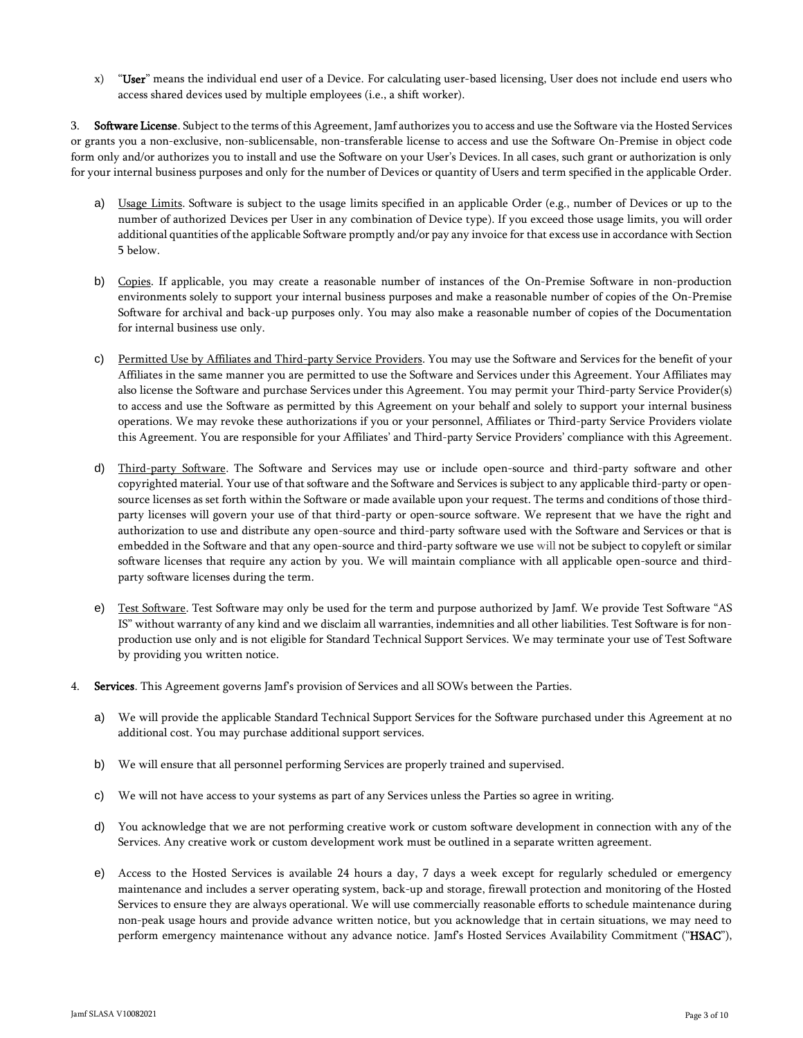"User" means the individual end user of a Device. For calculating user-based licensing, User does not include end users who access shared devices used by multiple employees (i.e., a shift worker).

3. Software License. Subject to the terms of this Agreement, Jamf authorizes you to access and use the Software via the Hosted Services or grants you a non-exclusive, non-sublicensable, non-transferable license to access and use the Software On-Premise in object code form only and/or authorizes you to install and use the Software on your User's Devices. In all cases, such grant or authorization is only for your internal business purposes and only for the number of Devices or quantity of Users and term specified in the applicable Order.

- Usage Limits. Software is subject to the usage limits specified in an applicable Order (e.g., number of Devices or up to the number of authorized Devices per User in any combination of Device type). If you exceed those usage limits, you will order additional quantities of the applicable Software promptly and/or pay any invoice for that excess use in accordance with Section 5 below.
- b) Copies. If applicable, you may create a reasonable number of instances of the On-Premise Software in non-production environments solely to support your internal business purposes and make a reasonable number of copies of the On-Premise Software for archival and back-up purposes only. You may also make a reasonable number of copies of the Documentation for internal business use only.
- c) Permitted Use by Affiliates and Third-party Service Providers. You may use the Software and Services for the benefit of your Affiliates in the same manner you are permitted to use the Software and Services under this Agreement. Your Affiliates may also license the Software and purchase Services under this Agreement. You may permit your Third-party Service Provider(s) to access and use the Software as permitted by this Agreement on your behalf and solely to support your internal business operations. We may revoke these authorizations if you or your personnel, Affiliates or Third-party Service Providers violate this Agreement. You are responsible for your Affiliates' and Third-party Service Providers' compliance with this Agreement.
- d) Third-party Software. The Software and Services may use or include open-source and third-party software and other copyrighted material. Your use of that software and the Software and Services is subject to any applicable third-party or opensource licenses as set forth within the Software or made available upon your request. The terms and conditions of those thirdparty licenses will govern your use of that third-party or open-source software. We represent that we have the right and authorization to use and distribute any open-source and third-party software used with the Software and Services or that is embedded in the Software and that any open-source and third-party software we use will not be subject to copyleft or similar software licenses that require any action by you. We will maintain compliance with all applicable open-source and thirdparty software licenses during the term.
- e) Test Software. Test Software may only be used for the term and purpose authorized by Jamf. We provide Test Software "AS IS" without warranty of any kind and we disclaim all warranties, indemnities and all other liabilities. Test Software is for nonproduction use only and is not eligible for Standard Technical Support Services. We may terminate your use of Test Software by providing you written notice.
- 4. Services. This Agreement governs Jamf's provision of Services and all SOWs between the Parties.
	- a) We will provide the applicable Standard Technical Support Services for the Software purchased under this Agreement at no additional cost. You may purchase additional support services.
	- b) We will ensure that all personnel performing Services are properly trained and supervised.
	- c) We will not have access to your systems as part of any Services unless the Parties so agree in writing.
	- d) You acknowledge that we are not performing creative work or custom software development in connection with any of the Services. Any creative work or custom development work must be outlined in a separate written agreement.
	- e) Access to the Hosted Services is available 24 hours a day, 7 days a week except for regularly scheduled or emergency maintenance and includes a server operating system, back-up and storage, firewall protection and monitoring of the Hosted Services to ensure they are always operational. We will use commercially reasonable efforts to schedule maintenance during non-peak usage hours and provide advance written notice, but you acknowledge that in certain situations, we may need to perform emergency maintenance without any advance notice. Jamf's Hosted Services Availability Commitment ("HSAC"),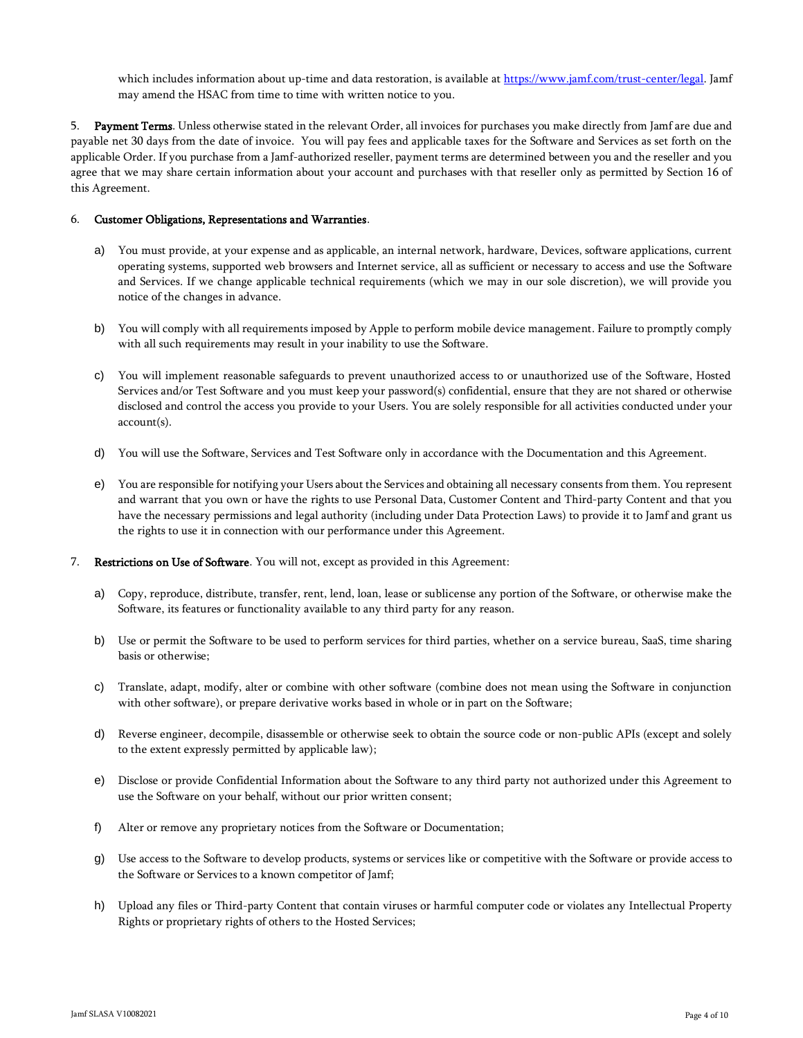which includes information about up-time and data restoration, is available at [https://www.jamf.com/trust-center/legal.](https://www.jamf.com/trust-center/legal) Jamf may amend the HSAC from time to time with written notice to you.

5. Payment Terms. Unless otherwise stated in the relevant Order, all invoices for purchases you make directly from Jamf are due and payable net 30 days from the date of invoice. You will pay fees and applicable taxes for the Software and Services as set forth on the applicable Order. If you purchase from a Jamf-authorized reseller, payment terms are determined between you and the reseller and you agree that we may share certain information about your account and purchases with that reseller only as permitted by Section 16 of this Agreement.

# 6. Customer Obligations, Representations and Warranties.

- a) You must provide, at your expense and as applicable, an internal network, hardware, Devices, software applications, current operating systems, supported web browsers and Internet service, all as sufficient or necessary to access and use the Software and Services. If we change applicable technical requirements (which we may in our sole discretion), we will provide you notice of the changes in advance.
- b) You will comply with all requirements imposed by Apple to perform mobile device management. Failure to promptly comply with all such requirements may result in your inability to use the Software.
- c) You will implement reasonable safeguards to prevent unauthorized access to or unauthorized use of the Software, Hosted Services and/or Test Software and you must keep your password(s) confidential, ensure that they are not shared or otherwise disclosed and control the access you provide to your Users. You are solely responsible for all activities conducted under your account(s).
- d) You will use the Software, Services and Test Software only in accordance with the Documentation and this Agreement.
- e) You are responsible for notifying your Users about the Services and obtaining all necessary consents from them. You represent and warrant that you own or have the rights to use Personal Data, Customer Content and Third-party Content and that you have the necessary permissions and legal authority (including under Data Protection Laws) to provide it to Jamf and grant us the rights to use it in connection with our performance under this Agreement.
- 7. Restrictions on Use of Software. You will not, except as provided in this Agreement:
	- a) Copy, reproduce, distribute, transfer, rent, lend, loan, lease or sublicense any portion of the Software, or otherwise make the Software, its features or functionality available to any third party for any reason.
	- b) Use or permit the Software to be used to perform services for third parties, whether on a service bureau, SaaS, time sharing basis or otherwise;
	- c) Translate, adapt, modify, alter or combine with other software (combine does not mean using the Software in conjunction with other software), or prepare derivative works based in whole or in part on the Software;
	- d) Reverse engineer, decompile, disassemble or otherwise seek to obtain the source code or non-public APIs (except and solely to the extent expressly permitted by applicable law);
	- e) Disclose or provide Confidential Information about the Software to any third party not authorized under this Agreement to use the Software on your behalf, without our prior written consent;
	- f) Alter or remove any proprietary notices from the Software or Documentation;
	- g) Use access to the Software to develop products, systems or services like or competitive with the Software or provide access to the Software or Services to a known competitor of Jamf;
	- h) Upload any files or Third-party Content that contain viruses or harmful computer code or violates any Intellectual Property Rights or proprietary rights of others to the Hosted Services;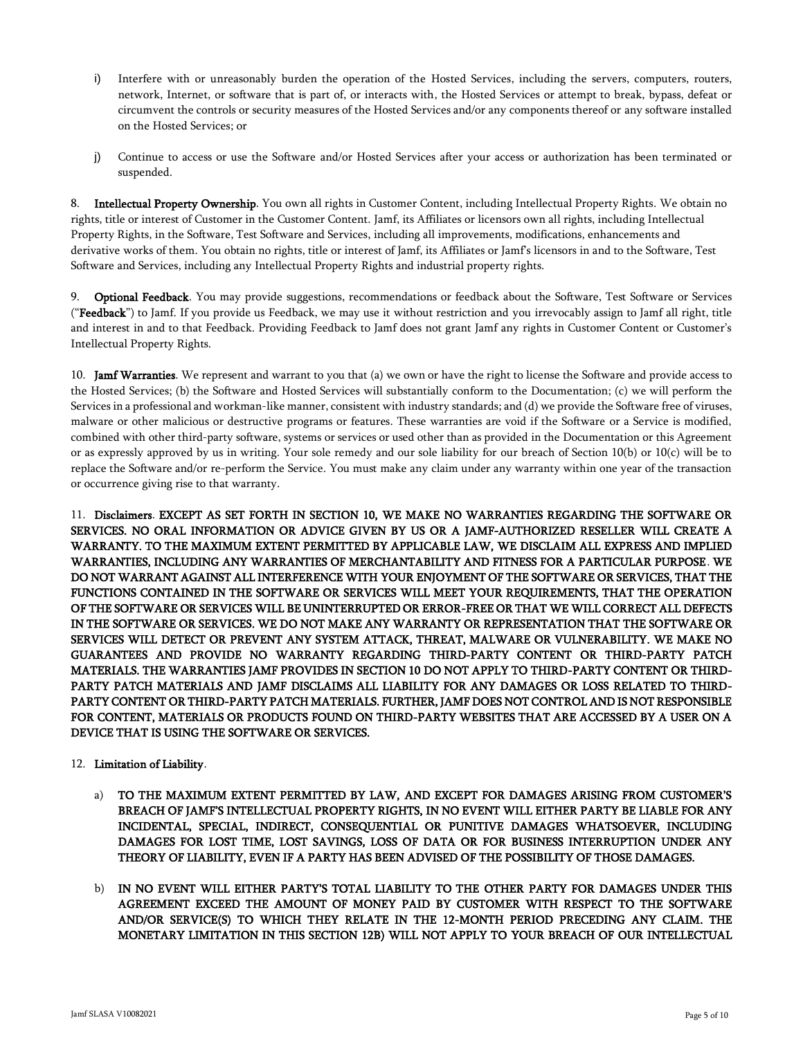- i) Interfere with or unreasonably burden the operation of the Hosted Services, including the servers, computers, routers, network, Internet, or software that is part of, or interacts with, the Hosted Services or attempt to break, bypass, defeat or circumvent the controls or security measures of the Hosted Services and/or any components thereof or any software installed on the Hosted Services; or
- j) Continue to access or use the Software and/or Hosted Services after your access or authorization has been terminated or suspended.

Intellectual Property Ownership. You own all rights in Customer Content, including Intellectual Property Rights. We obtain no rights, title or interest of Customer in the Customer Content. Jamf, its Affiliates or licensors own all rights, including Intellectual Property Rights, in the Software, Test Software and Services, including all improvements, modifications, enhancements and derivative works of them. You obtain no rights, title or interest of Jamf, its Affiliates or Jamf's licensors in and to the Software, Test Software and Services, including any Intellectual Property Rights and industrial property rights.

Optional Feedback. You may provide suggestions, recommendations or feedback about the Software, Test Software or Services ("Feedback") to Jamf. If you provide us Feedback, we may use it without restriction and you irrevocably assign to Jamf all right, title and interest in and to that Feedback. Providing Feedback to Jamf does not grant Jamf any rights in Customer Content or Customer's Intellectual Property Rights.

10. Jamf Warranties. We represent and warrant to you that (a) we own or have the right to license the Software and provide access to the Hosted Services; (b) the Software and Hosted Services will substantially conform to the Documentation; (c) we will perform the Services in a professional and workman-like manner, consistent with industry standards; and (d) we provide the Software free of viruses, malware or other malicious or destructive programs or features. These warranties are void if the Software or a Service is modified, combined with other third-party software, systems or services or used other than as provided in the Documentation or this Agreement or as expressly approved by us in writing. Your sole remedy and our sole liability for our breach of Section 10(b) or 10(c) will be to replace the Software and/or re-perform the Service. You must make any claim under any warranty within one year of the transaction or occurrence giving rise to that warranty.

11. Disclaimers. EXCEPT AS SET FORTH IN SECTION 10, WE MAKE NO WARRANTIES REGARDING THE SOFTWARE OR SERVICES. NO ORAL INFORMATION OR ADVICE GIVEN BY US OR A JAMF-AUTHORIZED RESELLER WILL CREATE A WARRANTY. TO THE MAXIMUM EXTENT PERMITTED BY APPLICABLE LAW, WE DISCLAIM ALL EXPRESS AND IMPLIED WARRANTIES, INCLUDING ANY WARRANTIES OF MERCHANTABILITY AND FITNESS FOR A PARTICULAR PURPOSE. WE DO NOT WARRANT AGAINST ALL INTERFERENCE WITH YOUR ENJOYMENT OF THE SOFTWARE OR SERVICES, THAT THE FUNCTIONS CONTAINED IN THE SOFTWARE OR SERVICES WILL MEET YOUR REQUIREMENTS, THAT THE OPERATION OF THE SOFTWARE OR SERVICES WILL BE UNINTERRUPTED OR ERROR-FREE OR THAT WE WILL CORRECT ALL DEFECTS IN THE SOFTWARE OR SERVICES. WE DO NOT MAKE ANY WARRANTY OR REPRESENTATION THAT THE SOFTWARE OR SERVICES WILL DETECT OR PREVENT ANY SYSTEM ATTACK, THREAT, MALWARE OR VULNERABILITY. WE MAKE NO GUARANTEES AND PROVIDE NO WARRANTY REGARDING THIRD-PARTY CONTENT OR THIRD-PARTY PATCH MATERIALS. THE WARRANTIES JAMF PROVIDES IN SECTION 10 DO NOT APPLY TO THIRD-PARTY CONTENT OR THIRD-PARTY PATCH MATERIALS AND JAMF DISCLAIMS ALL LIABILITY FOR ANY DAMAGES OR LOSS RELATED TO THIRD-PARTY CONTENT OR THIRD-PARTY PATCH MATERIALS. FURTHER, JAMF DOES NOT CONTROL AND IS NOT RESPONSIBLE FOR CONTENT, MATERIALS OR PRODUCTS FOUND ON THIRD-PARTY WEBSITES THAT ARE ACCESSED BY A USER ON A DEVICE THAT IS USING THE SOFTWARE OR SERVICES.

- 12. Limitation of Liability.
	- a) TO THE MAXIMUM EXTENT PERMITTED BY LAW, AND EXCEPT FOR DAMAGES ARISING FROM CUSTOMER'S BREACH OF JAMF'S INTELLECTUAL PROPERTY RIGHTS, IN NO EVENT WILL EITHER PARTY BE LIABLE FOR ANY INCIDENTAL, SPECIAL, INDIRECT, CONSEQUENTIAL OR PUNITIVE DAMAGES WHATSOEVER, INCLUDING DAMAGES FOR LOST TIME, LOST SAVINGS, LOSS OF DATA OR FOR BUSINESS INTERRUPTION UNDER ANY THEORY OF LIABILITY, EVEN IF A PARTY HAS BEEN ADVISED OF THE POSSIBILITY OF THOSE DAMAGES.
	- b) IN NO EVENT WILL EITHER PARTY'S TOTAL LIABILITY TO THE OTHER PARTY FOR DAMAGES UNDER THIS AGREEMENT EXCEED THE AMOUNT OF MONEY PAID BY CUSTOMER WITH RESPECT TO THE SOFTWARE AND/OR SERVICE(S) TO WHICH THEY RELATE IN THE 12-MONTH PERIOD PRECEDING ANY CLAIM. THE MONETARY LIMITATION IN THIS SECTION 12B) WILL NOT APPLY TO YOUR BREACH OF OUR INTELLECTUAL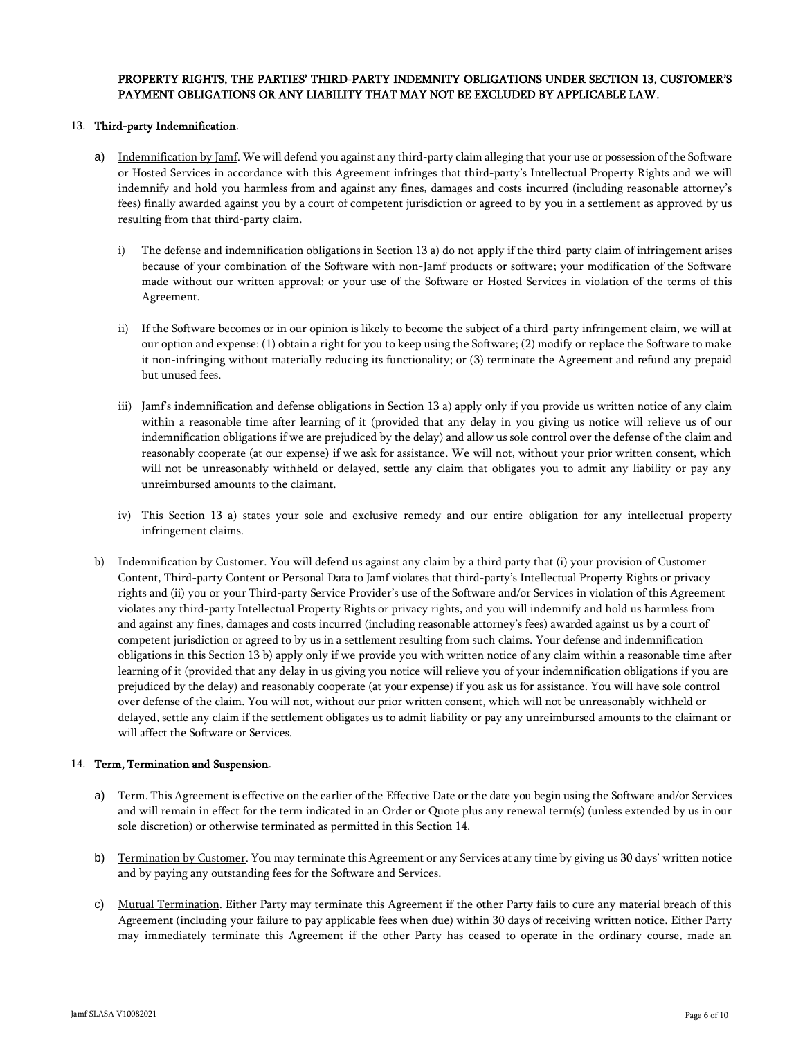# PROPERTY RIGHTS, THE PARTIES' THIRD-PARTY INDEMNITY OBLIGATIONS UNDER SECTION 13, CUSTOMER'S PAYMENT OBLIGATIONS OR ANY LIABILITY THAT MAY NOT BE EXCLUDED BY APPLICABLE LAW.

# 13. Third-party Indemnification.

- a) Indemnification by Jamf. We will defend you against any third-party claim alleging that your use or possession of the Software or Hosted Services in accordance with this Agreement infringes that third-party's Intellectual Property Rights and we will indemnify and hold you harmless from and against any fines, damages and costs incurred (including reasonable attorney's fees) finally awarded against you by a court of competent jurisdiction or agreed to by you in a settlement as approved by us resulting from that third-party claim.
	- i) The defense and indemnification obligations in Section 13 a) do not apply if the third-party claim of infringement arises because of your combination of the Software with non-Jamf products or software; your modification of the Software made without our written approval; or your use of the Software or Hosted Services in violation of the terms of this Agreement.
	- ii) If the Software becomes or in our opinion is likely to become the subject of a third-party infringement claim, we will at our option and expense: (1) obtain a right for you to keep using the Software; (2) modify or replace the Software to make it non-infringing without materially reducing its functionality; or (3) terminate the Agreement and refund any prepaid but unused fees.
	- iii) Jamf's indemnification and defense obligations in Section 13 a) apply only if you provide us written notice of any claim within a reasonable time after learning of it (provided that any delay in you giving us notice will relieve us of our indemnification obligations if we are prejudiced by the delay) and allow us sole control over the defense of the claim and reasonably cooperate (at our expense) if we ask for assistance. We will not, without your prior written consent, which will not be unreasonably withheld or delayed, settle any claim that obligates you to admit any liability or pay any unreimbursed amounts to the claimant.
	- iv) This Section 13 a) states your sole and exclusive remedy and our entire obligation for any intellectual property infringement claims.
- b) Indemnification by Customer. You will defend us against any claim by a third party that (i) your provision of Customer Content, Third-party Content or Personal Data to Jamf violates that third-party's Intellectual Property Rights or privacy rights and (ii) you or your Third-party Service Provider's use of the Software and/or Services in violation of this Agreement violates any third-party Intellectual Property Rights or privacy rights, and you will indemnify and hold us harmless from and against any fines, damages and costs incurred (including reasonable attorney's fees) awarded against us by a court of competent jurisdiction or agreed to by us in a settlement resulting from such claims. Your defense and indemnification obligations in this Section 13 b) apply only if we provide you with written notice of any claim within a reasonable time after learning of it (provided that any delay in us giving you notice will relieve you of your indemnification obligations if you are prejudiced by the delay) and reasonably cooperate (at your expense) if you ask us for assistance. You will have sole control over defense of the claim. You will not, without our prior written consent, which will not be unreasonably withheld or delayed, settle any claim if the settlement obligates us to admit liability or pay any unreimbursed amounts to the claimant or will affect the Software or Services.

#### 14. Term, Termination and Suspension.

- a) Term. This Agreement is effective on the earlier of the Effective Date or the date you begin using the Software and/or Services and will remain in effect for the term indicated in an Order or Quote plus any renewal term(s) (unless extended by us in our sole discretion) or otherwise terminated as permitted in this Section 14.
- b) Termination by Customer. You may terminate this Agreement or any Services at any time by giving us 30 days' written notice and by paying any outstanding fees for the Software and Services.
- c) Mutual Termination. Either Party may terminate this Agreement if the other Party fails to cure any material breach of this Agreement (including your failure to pay applicable fees when due) within 30 days of receiving written notice. Either Party may immediately terminate this Agreement if the other Party has ceased to operate in the ordinary course, made an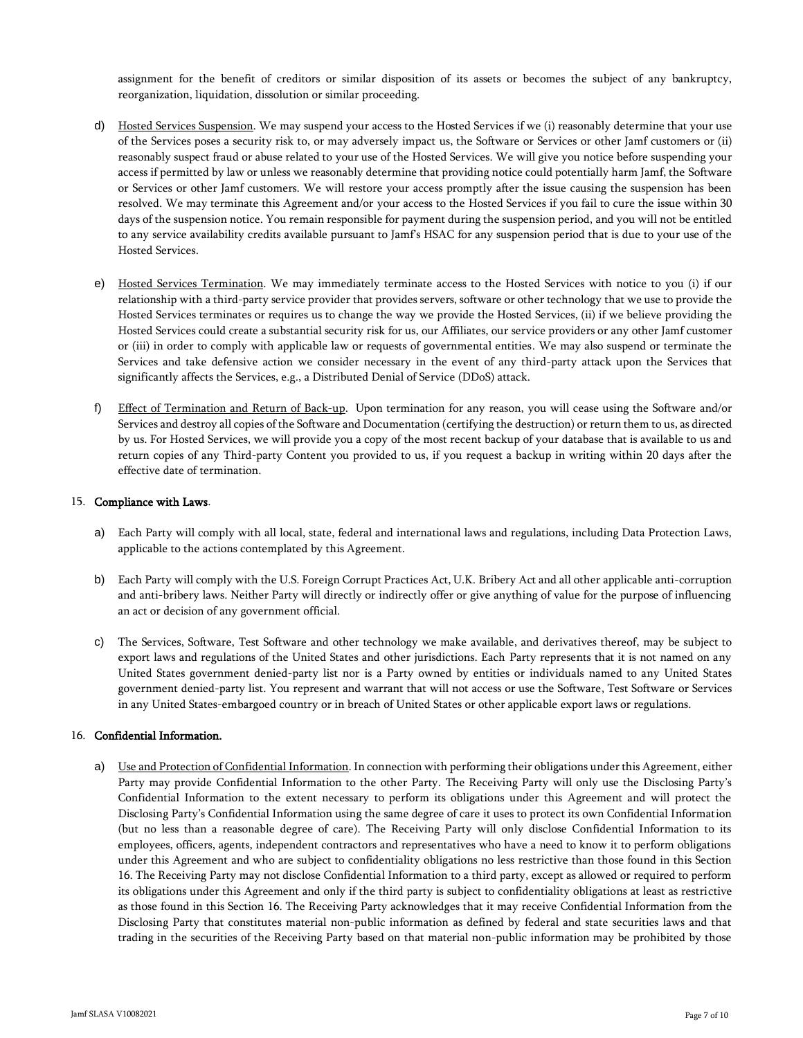assignment for the benefit of creditors or similar disposition of its assets or becomes the subject of any bankruptcy, reorganization, liquidation, dissolution or similar proceeding.

- d) Hosted Services Suspension. We may suspend your access to the Hosted Services if we (i) reasonably determine that your use of the Services poses a security risk to, or may adversely impact us, the Software or Services or other Jamf customers or (ii) reasonably suspect fraud or abuse related to your use of the Hosted Services. We will give you notice before suspending your access if permitted by law or unless we reasonably determine that providing notice could potentially harm Jamf, the Software or Services or other Jamf customers. We will restore your access promptly after the issue causing the suspension has been resolved. We may terminate this Agreement and/or your access to the Hosted Services if you fail to cure the issue within 30 days of the suspension notice. You remain responsible for payment during the suspension period, and you will not be entitled to any service availability credits available pursuant to Jamf's HSAC for any suspension period that is due to your use of the Hosted Services.
- e) Hosted Services Termination. We may immediately terminate access to the Hosted Services with notice to you (i) if our relationship with a third-party service provider that provides servers, software or other technology that we use to provide the Hosted Services terminates or requires us to change the way we provide the Hosted Services, (ii) if we believe providing the Hosted Services could create a substantial security risk for us, our Affiliates, our service providers or any other Jamf customer or (iii) in order to comply with applicable law or requests of governmental entities. We may also suspend or terminate the Services and take defensive action we consider necessary in the event of any third-party attack upon the Services that significantly affects the Services, e.g., a Distributed Denial of Service (DDoS) attack.
- f) Effect of Termination and Return of Back-up. Upon termination for any reason, you will cease using the Software and/or Services and destroy all copies of the Software and Documentation (certifying the destruction) or return them to us, as directed by us. For Hosted Services, we will provide you a copy of the most recent backup of your database that is available to us and return copies of any Third-party Content you provided to us, if you request a backup in writing within 20 days after the effective date of termination.

### 15. Compliance with Laws.

- a) Each Party will comply with all local, state, federal and international laws and regulations, including Data Protection Laws, applicable to the actions contemplated by this Agreement.
- b) Each Party will comply with the U.S. Foreign Corrupt Practices Act, U.K. Bribery Act and all other applicable anti-corruption and anti-bribery laws. Neither Party will directly or indirectly offer or give anything of value for the purpose of influencing an act or decision of any government official.
- c) The Services, Software, Test Software and other technology we make available, and derivatives thereof, may be subject to export laws and regulations of the United States and other jurisdictions. Each Party represents that it is not named on any United States government denied-party list nor is a Party owned by entities or individuals named to any United States government denied-party list. You represent and warrant that will not access or use the Software, Test Software or Services in any United States-embargoed country or in breach of United States or other applicable export laws or regulations.

# 16. Confidential Information.

a) Use and Protection of Confidential Information. In connection with performing their obligations under this Agreement, either Party may provide Confidential Information to the other Party. The Receiving Party will only use the Disclosing Party's Confidential Information to the extent necessary to perform its obligations under this Agreement and will protect the Disclosing Party's Confidential Information using the same degree of care it uses to protect its own Confidential Information (but no less than a reasonable degree of care). The Receiving Party will only disclose Confidential Information to its employees, officers, agents, independent contractors and representatives who have a need to know it to perform obligations under this Agreement and who are subject to confidentiality obligations no less restrictive than those found in this Section 16. The Receiving Party may not disclose Confidential Information to a third party, except as allowed or required to perform its obligations under this Agreement and only if the third party is subject to confidentiality obligations at least as restrictive as those found in this Section 16. The Receiving Party acknowledges that it may receive Confidential Information from the Disclosing Party that constitutes material non-public information as defined by federal and state securities laws and that trading in the securities of the Receiving Party based on that material non-public information may be prohibited by those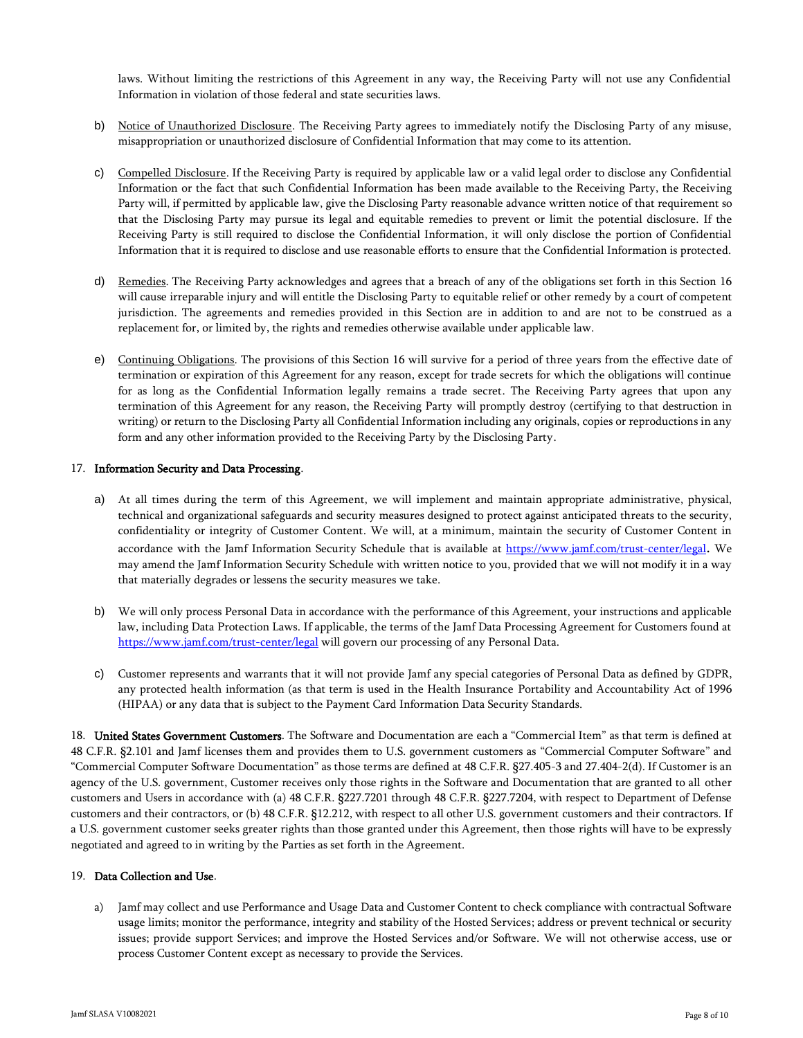laws. Without limiting the restrictions of this Agreement in any way, the Receiving Party will not use any Confidential Information in violation of those federal and state securities laws.

- b) Notice of Unauthorized Disclosure. The Receiving Party agrees to immediately notify the Disclosing Party of any misuse, misappropriation or unauthorized disclosure of Confidential Information that may come to its attention.
- c) Compelled Disclosure. If the Receiving Party is required by applicable law or a valid legal order to disclose any Confidential Information or the fact that such Confidential Information has been made available to the Receiving Party, the Receiving Party will, if permitted by applicable law, give the Disclosing Party reasonable advance written notice of that requirement so that the Disclosing Party may pursue its legal and equitable remedies to prevent or limit the potential disclosure. If the Receiving Party is still required to disclose the Confidential Information, it will only disclose the portion of Confidential Information that it is required to disclose and use reasonable efforts to ensure that the Confidential Information is protected.
- d) Remedies. The Receiving Party acknowledges and agrees that a breach of any of the obligations set forth in this Section 16 will cause irreparable injury and will entitle the Disclosing Party to equitable relief or other remedy by a court of competent jurisdiction. The agreements and remedies provided in this Section are in addition to and are not to be construed as a replacement for, or limited by, the rights and remedies otherwise available under applicable law.
- e) Continuing Obligations. The provisions of this Section 16 will survive for a period of three years from the effective date of termination or expiration of this Agreement for any reason, except for trade secrets for which the obligations will continue for as long as the Confidential Information legally remains a trade secret. The Receiving Party agrees that upon any termination of this Agreement for any reason, the Receiving Party will promptly destroy (certifying to that destruction in writing) or return to the Disclosing Party all Confidential Information including any originals, copies or reproductions in any form and any other information provided to the Receiving Party by the Disclosing Party.

# 17. Information Security and Data Processing.

- a) At all times during the term of this Agreement, we will implement and maintain appropriate administrative, physical, technical and organizational safeguards and security measures designed to protect against anticipated threats to the security, confidentiality or integrity of Customer Content. We will, at a minimum, maintain the security of Customer Content in accordance with the Jamf Information Security Schedule that is available at <https://www.jamf.com/trust-center/legal>. We may amend the Jamf Information Security Schedule with written notice to you, provided that we will not modify it in a way that materially degrades or lessens the security measures we take.
- b) We will only process Personal Data in accordance with the performance of this Agreement, your instructions and applicable law, including Data Protection Laws. If applicable, the terms of the Jamf Data Processing Agreement for Customers found at <https://www.jamf.com/trust-center/legal> will govern our processing of any Personal Data.
- c) Customer represents and warrants that it will not provide Jamf any special categories of Personal Data as defined by GDPR, any protected health information (as that term is used in the Health Insurance Portability and Accountability Act of 1996 (HIPAA) or any data that is subject to the Payment Card Information Data Security Standards.

18. United States Government Customers. The Software and Documentation are each a "Commercial Item" as that term is defined at 48 C.F.R. §2.101 and Jamf licenses them and provides them to U.S. government customers as "Commercial Computer Software" and "Commercial Computer Software Documentation" as those terms are defined at 48 C.F.R. §27.405-3 and 27.404-2(d). If Customer is an agency of the U.S. government, Customer receives only those rights in the Software and Documentation that are granted to all other customers and Users in accordance with (a) 48 C.F.R. §227.7201 through 48 C.F.R. §227.7204, with respect to Department of Defense customers and their contractors, or (b) 48 C.F.R. §12.212, with respect to all other U.S. government customers and their contractors. If a U.S. government customer seeks greater rights than those granted under this Agreement, then those rights will have to be expressly negotiated and agreed to in writing by the Parties as set forth in the Agreement.

#### 19. Data Collection and Use.

a) Jamf may collect and use Performance and Usage Data and Customer Content to check compliance with contractual Software usage limits; monitor the performance, integrity and stability of the Hosted Services; address or prevent technical or security issues; provide support Services; and improve the Hosted Services and/or Software. We will not otherwise access, use or process Customer Content except as necessary to provide the Services.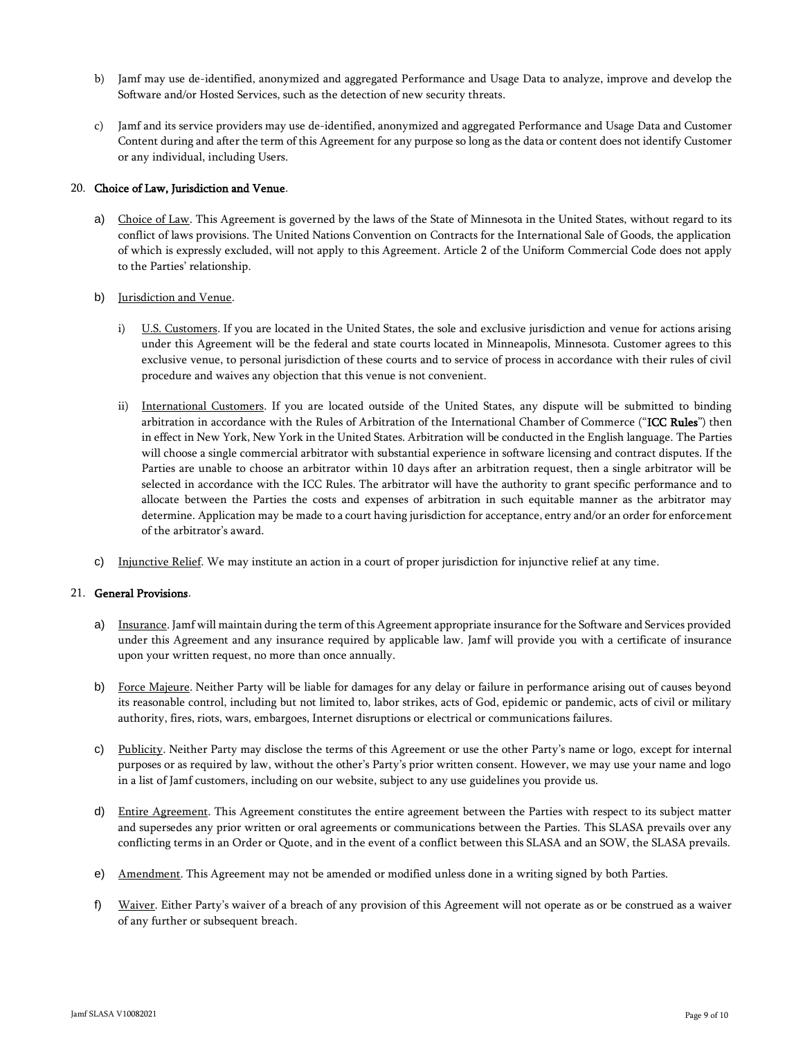- b) Jamf may use de-identified, anonymized and aggregated Performance and Usage Data to analyze, improve and develop the Software and/or Hosted Services, such as the detection of new security threats.
- c) Jamf and its service providers may use de-identified, anonymized and aggregated Performance and Usage Data and Customer Content during and after the term of this Agreement for any purpose so long as the data or content does not identify Customer or any individual, including Users.

### 20. Choice of Law, Jurisdiction and Venue.

a) Choice of Law. This Agreement is governed by the laws of the State of Minnesota in the United States, without regard to its conflict of laws provisions. The United Nations Convention on Contracts for the International Sale of Goods, the application of which is expressly excluded, will not apply to this Agreement. Article 2 of the Uniform Commercial Code does not apply to the Parties' relationship.

### b) Jurisdiction and Venue.

- i) U.S. Customers. If you are located in the United States, the sole and exclusive jurisdiction and venue for actions arising under this Agreement will be the federal and state courts located in Minneapolis, Minnesota. Customer agrees to this exclusive venue, to personal jurisdiction of these courts and to service of process in accordance with their rules of civil procedure and waives any objection that this venue is not convenient.
- ii) International Customers. If you are located outside of the United States, any dispute will be submitted to binding arbitration in accordance with the Rules of Arbitration of the International Chamber of Commerce ("ICC Rules") then in effect in New York, New York in the United States. Arbitration will be conducted in the English language. The Parties will choose a single commercial arbitrator with substantial experience in software licensing and contract disputes. If the Parties are unable to choose an arbitrator within 10 days after an arbitration request, then a single arbitrator will be selected in accordance with the ICC Rules. The arbitrator will have the authority to grant specific performance and to allocate between the Parties the costs and expenses of arbitration in such equitable manner as the arbitrator may determine. Application may be made to a court having jurisdiction for acceptance, entry and/or an order for enforcement of the arbitrator's award.
- c) Injunctive Relief. We may institute an action in a court of proper jurisdiction for injunctive relief at any time.

### 21. General Provisions.

- a) Insurance. Jamf will maintain during the term of this Agreement appropriate insurance for the Software and Services provided under this Agreement and any insurance required by applicable law. Jamf will provide you with a certificate of insurance upon your written request, no more than once annually.
- b) Force Majeure. Neither Party will be liable for damages for any delay or failure in performance arising out of causes beyond its reasonable control, including but not limited to, labor strikes, acts of God, epidemic or pandemic, acts of civil or military authority, fires, riots, wars, embargoes, Internet disruptions or electrical or communications failures.
- c) Publicity. Neither Party may disclose the terms of this Agreement or use the other Party's name or logo, except for internal purposes or as required by law, without the other's Party's prior written consent. However, we may use your name and logo in a list of Jamf customers, including on our website, subject to any use guidelines you provide us.
- d) Entire Agreement. This Agreement constitutes the entire agreement between the Parties with respect to its subject matter and supersedes any prior written or oral agreements or communications between the Parties. This SLASA prevails over any conflicting terms in an Order or Quote, and in the event of a conflict between this SLASA and an SOW, the SLASA prevails.
- e) Amendment. This Agreement may not be amended or modified unless done in a writing signed by both Parties.
- f) Waiver. Either Party's waiver of a breach of any provision of this Agreement will not operate as or be construed as a waiver of any further or subsequent breach.